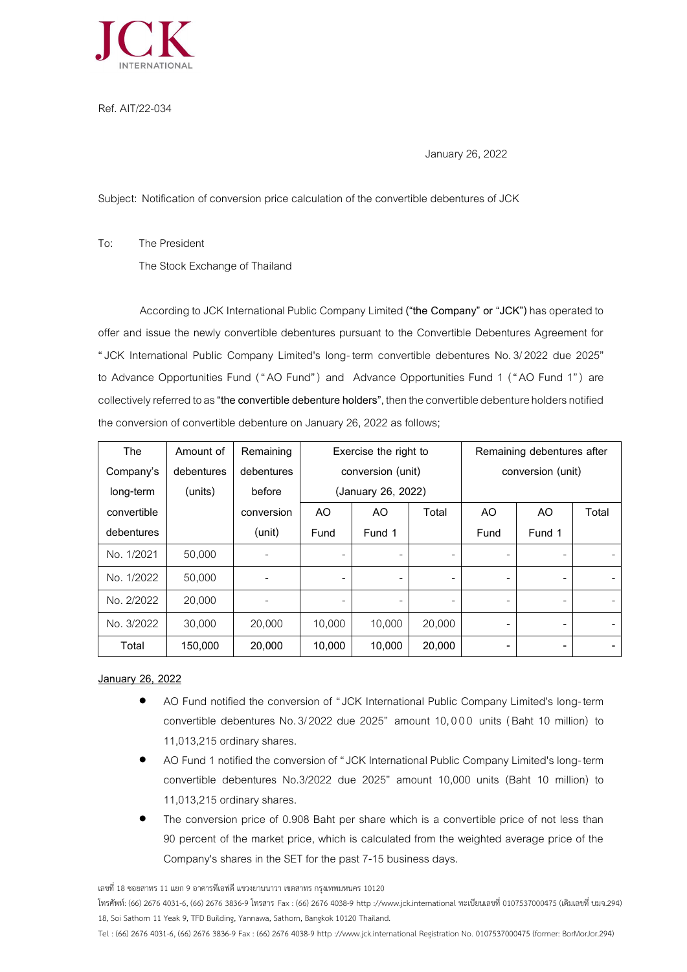

Ref. AIT/22-034

January 26, 2022

Subject: Notification of conversion price calculation of the convertible debentures of JCK

To: The President

The Stock Exchange of Thailand

According to JCK International Public Company Limited **("the Company" or "JCK")**has operated to offer and issue the newly convertible debentures pursuant to the Convertible Debentures Agreement for "JCK International Public Company Limited's long- term convertible debentures No.3/2022 due 2025" to Advance Opportunities Fund ("AO Fund") and Advance Opportunities Fund 1 ("AO Fund 1") are collectively referred to as **"the convertible debenture holders"**, then the convertible debenture holders notified the conversion of convertible debenture on January 26, 2022 as follows;

| The         | Amount of  | Remaining  | Exercise the right to |                          | Remaining debentures after |                |                |       |
|-------------|------------|------------|-----------------------|--------------------------|----------------------------|----------------|----------------|-------|
| Company's   | debentures | debentures | conversion (unit)     |                          | conversion (unit)          |                |                |       |
| long-term   | (units)    | before     | (January 26, 2022)    |                          |                            |                |                |       |
| convertible |            | conversion | AO                    | A <sub>O</sub>           | Total                      | A <sub>O</sub> | A <sub>O</sub> | Total |
| debentures  |            | (unit)     | Fund                  | Fund 1                   |                            | Fund           | Fund 1         |       |
| No. 1/2021  | 50,000     |            |                       |                          |                            |                |                |       |
| No. 1/2022  | 50,000     |            |                       | $\overline{\phantom{a}}$ |                            |                |                |       |
| No. 2/2022  | 20,000     |            | ۰                     | $\overline{\phantom{0}}$ |                            | ۰              |                |       |
| No. 3/2022  | 30,000     | 20,000     | 10.000                | 10,000                   | 20,000                     | ۰              |                |       |
| Total       | 150,000    | 20,000     | 10,000                | 10,000                   | 20,000                     | $\overline{a}$ |                |       |

## **January 26, 2022**

- AO Fund notified the conversion of "JCK International Public Company Limited's long-term convertible debentures No. 3/2022 due 2025" amount 10,000 units (Baht 10 million) to 11,013,215 ordinary shares.
- AO Fund 1 notified the conversion of "JCK International Public Company Limited's long-term convertible debentures No.3/2022 due 2025" amount 10,000 units (Baht 10 million) to 11,013,215 ordinary shares.
- The conversion price of 0.908 Baht per share which is a convertible price of not less than 90 percent of the market price, which is calculated from the weighted average price of the Company's shares in the SET for the past 7-15 business days.

เลขที่ 18 ซอยสาทร 11 แยก 9 อาคารทีเอฟดี แขวงยานนาวา เขตสาทร กรุงเทพมหนคร 10120

โทรศัพท์: (66) 2676 4031-6, (66) 2676 3836-9 โทรสาร Fax : (66) 2676 4038-9 http ://www.jck.international ทะเบียนเลขที่ 0107537000475 (เดิมเลขที่ บมจ.294) 18, Soi Sathorn 11 Yeak 9, TFD Building, Yannawa, Sathorn, Bangkok 10120 Thailand.

Tel : (66) 2676 4031-6, (66) 2676 3836-9 Fax : (66) 2676 4038-9 http ://www.jck.international Registration No. 0107537000475 (former: BorMorJor.294)